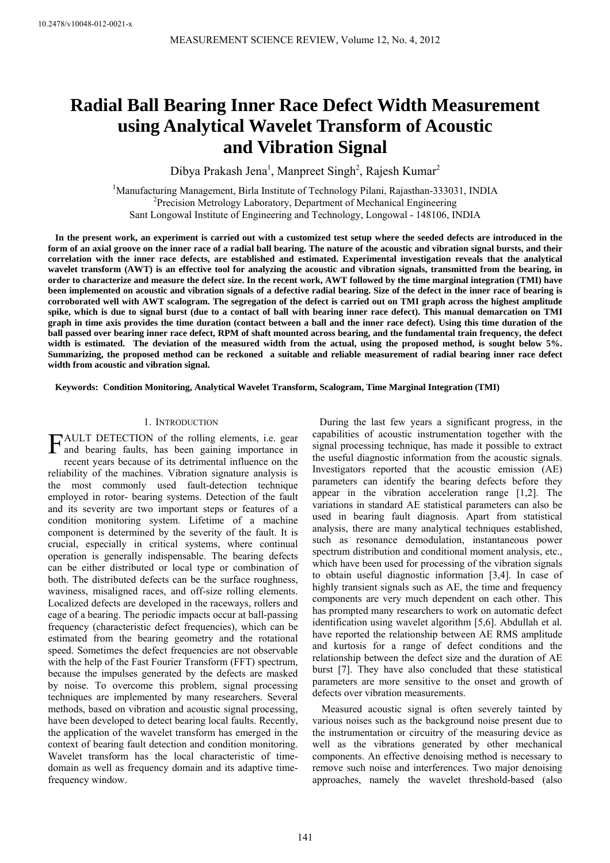# **Radial Ball Bearing Inner Race Defect Width Measurement using Analytical Wavelet Transform of Acoustic and Vibration Signal**

Dibya Prakash Jena<sup>1</sup>, Manpreet Singh<sup>2</sup>, Rajesh Kumar<sup>2</sup>

<sup>1</sup>Manufacturing Management, Birla Institute of Technology Pilani, Rajasthan-333031, INDIA<br><sup>2</sup>Procision Matrology Leberstery, Department of Machanical Engineering <sup>2</sup>Precision Metrology Laboratory, Department of Mechanical Engineering Sant Longowal Institute of Engineering and Technology, Longowal - 148106, INDIA

**In the present work, an experiment is carried out with a customized test setup where the seeded defects are introduced in the form of an axial groove on the inner race of a radial ball bearing. The nature of the acoustic and vibration signal bursts, and their correlation with the inner race defects, are established and estimated. Experimental investigation reveals that the analytical wavelet transform (AWT) is an effective tool for analyzing the acoustic and vibration signals, transmitted from the bearing, in order to characterize and measure the defect size. In the recent work, AWT followed by the time marginal integration (TMI) have been implemented on acoustic and vibration signals of a defective radial bearing. Size of the defect in the inner race of bearing is corroborated well with AWT scalogram. The segregation of the defect is carried out on TMI graph across the highest amplitude spike, which is due to signal burst (due to a contact of ball with bearing inner race defect). This manual demarcation on TMI graph in time axis provides the time duration (contact between a ball and the inner race defect). Using this time duration of the ball passed over bearing inner race defect, RPM of shaft mounted across bearing, and the fundamental train frequency, the defect width is estimated. The deviation of the measured width from the actual, using the proposed method, is sought below 5%. Summarizing, the proposed method can be reckoned a suitable and reliable measurement of radial bearing inner race defect width from acoustic and vibration signal.**

**Keywords: Condition Monitoring, Analytical Wavelet Transform, Scalogram, Time Marginal Integration (TMI)** 

### 1. INTRODUCTION

FAULT DETECTION of the rolling elements, i.e. gear<br>and bearing faults, has been gaining importance in and bearing faults, has been gaining importance in recent years because of its detrimental influence on the reliability of the machines. Vibration signature analysis is the most commonly used fault-detection technique employed in rotor- bearing systems. Detection of the fault and its severity are two important steps or features of a condition monitoring system. Lifetime of a machine component is determined by the severity of the fault. It is crucial, especially in critical systems, where continual operation is generally indispensable. The bearing defects can be either distributed or local type or combination of both. The distributed defects can be the surface roughness, waviness, misaligned races, and off-size rolling elements. Localized defects are developed in the raceways, rollers and cage of a bearing. The periodic impacts occur at ball-passing frequency (characteristic defect frequencies), which can be estimated from the bearing geometry and the rotational speed. Sometimes the defect frequencies are not observable with the help of the Fast Fourier Transform (FFT) spectrum, because the impulses generated by the defects are masked by noise. To overcome this problem, signal processing techniques are implemented by many researchers. Several methods, based on vibration and acoustic signal processing, have been developed to detect bearing local faults. Recently, the application of the wavelet transform has emerged in the context of bearing fault detection and condition monitoring. Wavelet transform has the local characteristic of timedomain as well as frequency domain and its adaptive timefrequency window.

During the last few years a significant progress, in the capabilities of acoustic instrumentation together with the signal processing technique, has made it possible to extract the useful diagnostic information from the acoustic signals. Investigators reported that the acoustic emission (AE) parameters can identify the bearing defects before they appear in the vibration acceleration range [1,2]. The variations in standard AE statistical parameters can also be used in bearing fault diagnosis. Apart from statistical analysis, there are many analytical techniques established, such as resonance demodulation, instantaneous power spectrum distribution and conditional moment analysis, etc., which have been used for processing of the vibration signals to obtain useful diagnostic information [3,4]. In case of highly transient signals such as AE, the time and frequency components are very much dependent on each other. This has prompted many researchers to work on automatic defect identification using wavelet algorithm [5,6]. Abdullah et al*.* have reported the relationship between AE RMS amplitude and kurtosis for a range of defect conditions and the relationship between the defect size and the duration of AE burst [7]. They have also concluded that these statistical parameters are more sensitive to the onset and growth of defects over vibration measurements.

Measured acoustic signal is often severely tainted by various noises such as the background noise present due to the instrumentation or circuitry of the measuring device as well as the vibrations generated by other mechanical components. An effective denoising method is necessary to remove such noise and interferences. Two major denoising approaches, namely the wavelet threshold-based (also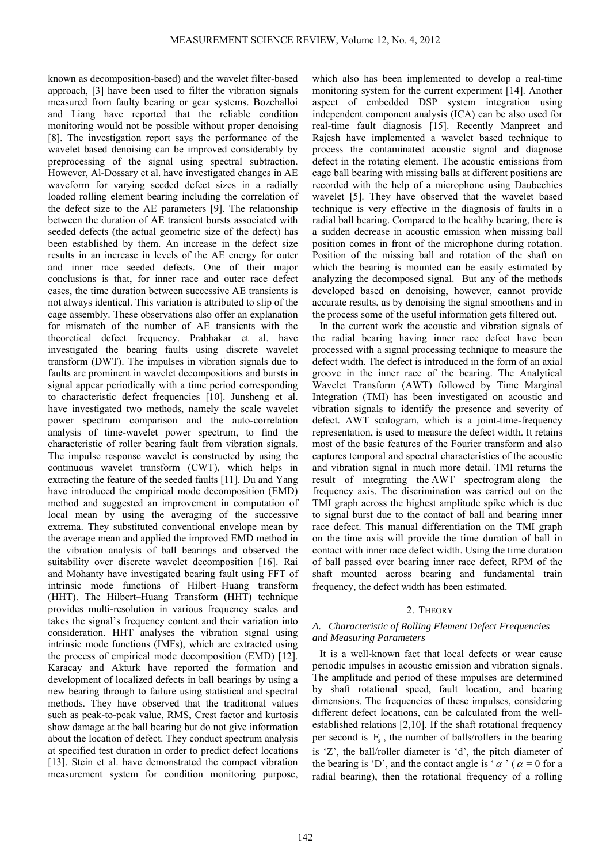known as decomposition-based) and the wavelet filter-based approach, [3] have been used to filter the vibration signals measured from faulty bearing or gear systems. Bozchalloi and Liang have reported that the reliable condition monitoring would not be possible without proper denoising [8]. The investigation report says the performance of the wavelet based denoising can be improved considerably by preprocessing of the signal using spectral subtraction. However, Al-Dossary et al. have investigated changes in AE waveform for varying seeded defect sizes in a radially loaded rolling element bearing including the correlation of the defect size to the AE parameters [9]. The relationship between the duration of AE transient bursts associated with seeded defects (the actual geometric size of the defect) has been established by them. An increase in the defect size results in an increase in levels of the AE energy for outer and inner race seeded defects. One of their major conclusions is that, for inner race and outer race defect cases, the time duration between successive AE transients is not always identical. This variation is attributed to slip of the cage assembly. These observations also offer an explanation for mismatch of the number of AE transients with the theoretical defect frequency. Prabhakar et al. have investigated the bearing faults using discrete wavelet transform (DWT). The impulses in vibration signals due to faults are prominent in wavelet decompositions and bursts in signal appear periodically with a time period corresponding to characteristic defect frequencies [10]. Junsheng et al. have investigated two methods, namely the scale wavelet power spectrum comparison and the auto-correlation analysis of time-wavelet power spectrum, to find the characteristic of roller bearing fault from vibration signals. The impulse response wavelet is constructed by using the continuous wavelet transform (CWT), which helps in extracting the feature of the seeded faults [11]. Du and Yang have introduced the empirical mode decomposition (EMD) method and suggested an improvement in computation of local mean by using the averaging of the successive extrema. They substituted conventional envelope mean by the average mean and applied the improved EMD method in the vibration analysis of ball bearings and observed the suitability over discrete wavelet decomposition [16]. Rai and Mohanty have investigated bearing fault using FFT of intrinsic mode functions of Hilbert–Huang transform (HHT). The Hilbert–Huang Transform (HHT) technique provides multi-resolution in various frequency scales and takes the signal's frequency content and their variation into consideration. HHT analyses the vibration signal using intrinsic mode functions (IMFs), which are extracted using the process of empirical mode decomposition (EMD) [12]. Karacay and Akturk have reported the formation and development of localized defects in ball bearings by using a new bearing through to failure using statistical and spectral methods. They have observed that the traditional values such as peak-to-peak value, RMS, Crest factor and kurtosis show damage at the ball bearing but do not give information about the location of defect. They conduct spectrum analysis at specified test duration in order to predict defect locations [13]. Stein et al. have demonstrated the compact vibration measurement system for condition monitoring purpose,

which also has been implemented to develop a real-time monitoring system for the current experiment [14]. Another aspect of embedded DSP system integration using independent component analysis (ICA) can be also used for real-time fault diagnosis [15]. Recently Manpreet and Rajesh have implemented a wavelet based technique to process the contaminated acoustic signal and diagnose defect in the rotating element. The acoustic emissions from cage ball bearing with missing balls at different positions are recorded with the help of a microphone using Daubechies wavelet [5]. They have observed that the wavelet based technique is very effective in the diagnosis of faults in a radial ball bearing. Compared to the healthy bearing, there is a sudden decrease in acoustic emission when missing ball position comes in front of the microphone during rotation. Position of the missing ball and rotation of the shaft on which the bearing is mounted can be easily estimated by analyzing the decomposed signal. But any of the methods developed based on denoising, however, cannot provide accurate results, as by denoising the signal smoothens and in the process some of the useful information gets filtered out.

In the current work the acoustic and vibration signals of the radial bearing having inner race defect have been processed with a signal processing technique to measure the defect width. The defect is introduced in the form of an axial groove in the inner race of the bearing. The Analytical Wavelet Transform (AWT) followed by Time Marginal Integration (TMI) has been investigated on acoustic and vibration signals to identify the presence and severity of defect. AWT scalogram, which is a joint-time-frequency representation, is used to measure the defect width. It retains most of the basic features of the Fourier transform and also captures temporal and spectral characteristics of the acoustic and vibration signal in much more detail. TMI returns the result of integrating the AWT spectrogram along the frequency axis. The discrimination was carried out on the TMI graph across the highest amplitude spike which is due to signal burst due to the contact of ball and bearing inner race defect. This manual differentiation on the TMI graph on the time axis will provide the time duration of ball in contact with inner race defect width. Using the time duration of ball passed over bearing inner race defect, RPM of the shaft mounted across bearing and fundamental train frequency, the defect width has been estimated.

# 2. THEORY

# *A. Characteristic of Rolling Element Defect Frequencies and Measuring Parameters*

It is a well-known fact that local defects or wear cause periodic impulses in acoustic emission and vibration signals. The amplitude and period of these impulses are determined by shaft rotational speed, fault location, and bearing dimensions. The frequencies of these impulses, considering different defect locations, can be calculated from the wellestablished relations [2,10]. If the shaft rotational frequency per second is  $F_s$ , the number of balls/rollers in the bearing is 'Z', the ball/roller diameter is 'd', the pitch diameter of the bearing is 'D', and the contact angle is ' $\alpha$ ' ( $\alpha$  = 0 for a radial bearing), then the rotational frequency of a rolling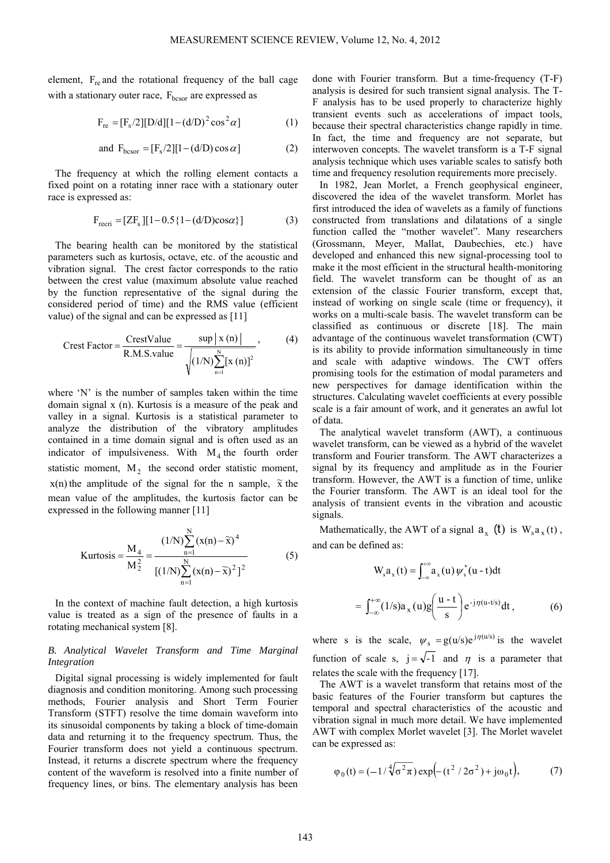element,  $F_{\text{re}}$  and the rotational frequency of the ball cage with a stationary outer race,  $F_{\text{bosor}}$  are expressed as

$$
F_{re} = [F_s/2][D/d][1 - (d/D)^2 \cos^2 \alpha]
$$
 (1)

and 
$$
F_{\text{bosor}} = [F_s/2][1 - (d/D)\cos \alpha]
$$
 (2)

The frequency at which the rolling element contacts a fixed point on a rotating inner race with a stationary outer race is expressed as:

$$
F_{\text{recri}} = [ZF_s][1 - 0.5\{1 - (d/D)\cos\alpha\}]
$$
 (3)

The bearing health can be monitored by the statistical parameters such as kurtosis, octave, etc. of the acoustic and vibration signal. The crest factor corresponds to the ratio between the crest value (maximum absolute value reached by the function representative of the signal during the considered period of time) and the RMS value (efficient value) of the signal and can be expressed as [11]

$$
\text{Crest Factor} = \frac{\text{CrestValue}}{\text{R.M.S.value}} = \frac{\text{sup} \left| \mathbf{x} \left( \mathbf{n} \right) \right|}{\sqrt{\left( 1/\text{N} \right) \sum_{\mathbf{n}=\mathbf{1}}^N \left[ \mathbf{x} \left( \mathbf{n} \right) \right]^2}},\tag{4}
$$

where 'N' is the number of samples taken within the time domain signal x (n). Kurtosis is a measure of the peak and valley in a signal. Kurtosis is a statistical parameter to analyze the distribution of the vibratory amplitudes contained in a time domain signal and is often used as an indicator of impulsiveness. With  $M_4$  the fourth order statistic moment,  $M_2$  the second order statistic moment,  $x(n)$  the amplitude of the signal for the n sample,  $\tilde{x}$  the mean value of the amplitudes, the kurtosis factor can be expressed in the following manner [11]

Kurtosis = 
$$
\frac{M_4}{M_2^2} = \frac{(1/N)\sum_{n=1}^{N} (x(n) - \tilde{x})^4}{[(1/N)\sum_{n=1}^{N} (x(n) - \tilde{x})^2]^2}
$$
(5)

In the context of machine fault detection, a high kurtosis value is treated as a sign of the presence of faults in a rotating mechanical system [8].

# *B. Analytical Wavelet Transform and Time Marginal Integration*

Digital signal processing is widely implemented for fault diagnosis and condition monitoring. Among such processing methods, Fourier analysis and Short Term Fourier Transform (STFT) resolve the time domain waveform into its sinusoidal components by taking a block of time-domain data and returning it to the frequency spectrum. Thus, the Fourier transform does not yield a continuous spectrum. Instead, it returns a discrete spectrum where the frequency content of the waveform is resolved into a finite number of frequency lines, or bins. The elementary analysis has been

done with Fourier transform. But a time-frequency (T-F) analysis is desired for such transient signal analysis. The T-F analysis has to be used properly to characterize highly transient events such as accelerations of impact tools, because their spectral characteristics change rapidly in time. In fact, the time and frequency are not separate, but interwoven concepts. The wavelet transform is a T-F signal analysis technique which uses variable scales to satisfy both time and frequency resolution requirements more precisely.

In 1982, Jean Morlet, a French geophysical engineer, discovered the idea of the wavelet transform. Morlet has first introduced the idea of wavelets as a family of functions constructed from translations and dilatations of a single function called the "mother wavelet". Many researchers (Grossmann, Meyer, Mallat, Daubechies, etc.) have developed and enhanced this new signal-processing tool to make it the most efficient in the structural health-monitoring field. The wavelet transform can be thought of as an extension of the classic Fourier transform, except that, instead of working on single scale (time or frequency), it works on a multi-scale basis. The wavelet transform can be classified as continuous or discrete [18]. The main advantage of the continuous wavelet transformation (CWT) is its ability to provide information simultaneously in time and scale with adaptive windows. The CWT offers promising tools for the estimation of modal parameters and new perspectives for damage identification within the structures. Calculating wavelet coefficients at every possible scale is a fair amount of work, and it generates an awful lot of data.

The analytical wavelet transform (AWT), a continuous wavelet transform, can be viewed as a hybrid of the wavelet transform and Fourier transform. The AWT characterizes a signal by its frequency and amplitude as in the Fourier transform. However, the AWT is a function of time, unlike the Fourier transform. The AWT is an ideal tool for the analysis of transient events in the vibration and acoustic signals.

Mathematically, the AWT of a signal  $a_x$  (t) is  $W_s a_x(t)$ , and can be defined as:

$$
W_s a_x(t) = \int_{-\infty}^{+\infty} a_x(u) \psi_s^*(u - t) dt
$$

$$
= \int_{-\infty}^{+\infty} (1/s) a_x(u) g\left(\frac{u - t}{s}\right) e^{-j\eta(u - t/s)} dt,
$$
(6)

where s is the scale,  $\psi_s = g(u/s) e^{j\eta(u/s)}$  is the wavelet function of scale s,  $j = \sqrt{-1}$  and  $\eta$  is a parameter that relates the scale with the frequency [17].

The AWT is a wavelet transform that retains most of the basic features of the Fourier transform but captures the temporal and spectral characteristics of the acoustic and vibration signal in much more detail. We have implemented AWT with complex Morlet wavelet [3]. The Morlet wavelet can be expressed as:

$$
\varphi_0(t) = (-1)^4 \sqrt{\sigma^2 \pi} \exp(-(t^2/2\sigma^2) + j\omega_0 t),
$$
 (7)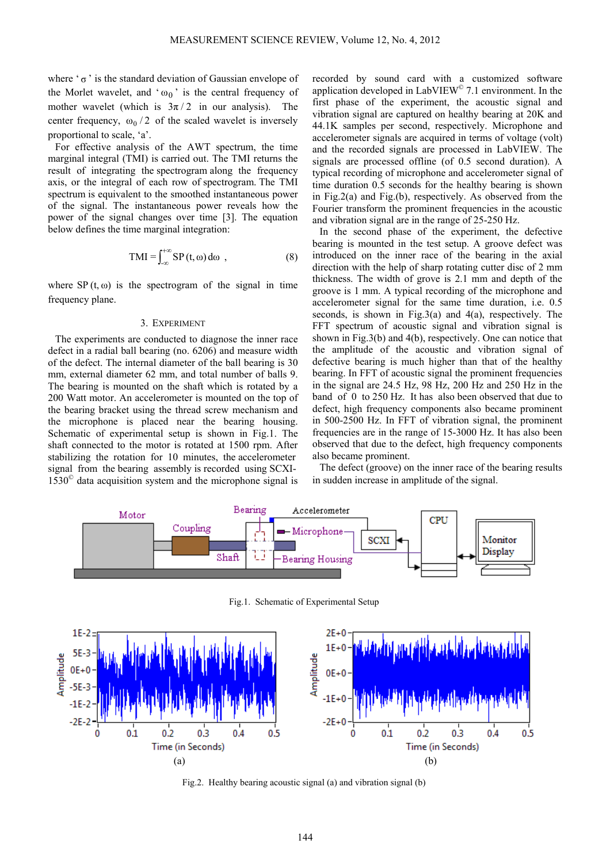where  $\zeta$  is the standard deviation of Gaussian envelope of the Morlet wavelet, and ' $\omega_0$ ' is the central frequency of mother wavelet (which is  $3\pi/2$  in our analysis). The center frequency,  $\omega_0/2$  of the scaled wavelet is inversely proportional to scale, 'a'.

For effective analysis of the AWT spectrum, the time marginal integral (TMI) is carried out. The TMI returns the result of integrating the spectrogram along the frequency axis, or the integral of each row of spectrogram. The TMI spectrum is equivalent to the smoothed instantaneous power of the signal. The instantaneous power reveals how the power of the signal changes over time [3]. The equation below defines the time marginal integration:

$$
TMI = \int_{-\infty}^{+\infty} SP(t, \omega) d\omega , \qquad (8)
$$

where SP  $(t, \omega)$  is the spectrogram of the signal in time frequency plane.

#### 3. EXPERIMENT

The experiments are conducted to diagnose the inner race defect in a radial ball bearing (no. 6206) and measure width of the defect. The internal diameter of the ball bearing is 30 mm, external diameter 62 mm, and total number of balls 9. The bearing is mounted on the shaft which is rotated by a 200 Watt motor. An accelerometer is mounted on the top of the bearing bracket using the thread screw mechanism and the microphone is placed near the bearing housing. Schematic of experimental setup is shown in Fig.1. The shaft connected to the motor is rotated at 1500 rpm. After stabilizing the rotation for 10 minutes, the accelerometer signal from the bearing assembly is recorded using SCXI- $1530^{\circ}$  data acquisition system and the microphone signal is

recorded by sound card with a customized software application developed in LabVIEW© 7.1 environment. In the first phase of the experiment, the acoustic signal and vibration signal are captured on healthy bearing at 20K and 44.1K samples per second, respectively. Microphone and accelerometer signals are acquired in terms of voltage (volt) and the recorded signals are processed in LabVIEW. The signals are processed offline (of 0.5 second duration). A typical recording of microphone and accelerometer signal of time duration 0.5 seconds for the healthy bearing is shown in Fig.2(a) and Fig.(b), respectively. As observed from the Fourier transform the prominent frequencies in the acoustic and vibration signal are in the range of 25-250 Hz.

In the second phase of the experiment, the defective bearing is mounted in the test setup. A groove defect was introduced on the inner race of the bearing in the axial direction with the help of sharp rotating cutter disc of 2 mm thickness. The width of grove is 2.1 mm and depth of the groove is 1 mm. A typical recording of the microphone and accelerometer signal for the same time duration, i.e. 0.5 seconds, is shown in Fig.3(a) and 4(a), respectively. The FFT spectrum of acoustic signal and vibration signal is shown in Fig.3(b) and 4(b), respectively. One can notice that the amplitude of the acoustic and vibration signal of defective bearing is much higher than that of the healthy bearing. In FFT of acoustic signal the prominent frequencies in the signal are 24.5 Hz, 98 Hz, 200 Hz and 250 Hz in the band of 0 to 250 Hz. It has also been observed that due to defect, high frequency components also became prominent in 500-2500 Hz. In FFT of vibration signal, the prominent frequencies are in the range of 15-3000 Hz. It has also been observed that due to the defect, high frequency components also became prominent.

The defect (groove) on the inner race of the bearing results in sudden increase in amplitude of the signal.



Fig.1. Schematic of Experimental Setup



Fig.2. Healthy bearing acoustic signal (a) and vibration signal (b)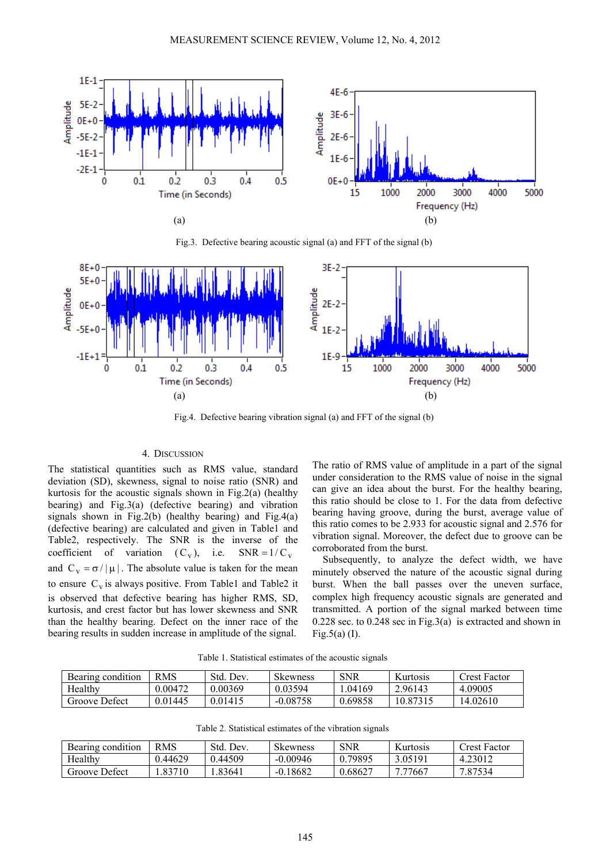

Fig.3. Defective bearing acoustic signal (a) and FFT of the signal (b)



Fig.4. Defective bearing vibration signal (a) and FFT of the signal (b)

## 4. DISCUSSION

The statistical quantities such as RMS value, standard deviation (SD), skewness, signal to noise ratio (SNR) and kurtosis for the acoustic signals shown in Fig.2(a) (healthy bearing) and Fig.3(a) (defective bearing) and vibration signals shown in Fig.2(b) (healthy bearing) and Fig.4(a) (defective bearing) are calculated and given in Table1 and Table2, respectively. The SNR is the inverse of the coefficient of variation  $(C_v)$ , i.e. SNR = 1/ $C_v$ and  $C_v = \sigma / |\mu|$ . The absolute value is taken for the mean to ensure  $C_v$  is always positive. From Table1 and Table2 it is observed that defective bearing has higher RMS, SD, kurtosis, and crest factor but has lower skewness and SNR than the healthy bearing. Defect on the inner race of the bearing results in sudden increase in amplitude of the signal.

The ratio of RMS value of amplitude in a part of the signal under consideration to the RMS value of noise in the signal can give an idea about the burst. For the healthy bearing, this ratio should be close to 1. For the data from defective bearing having groove, during the burst, average value of this ratio comes to be 2.933 for acoustic signal and 2.576 for vibration signal. Moreover, the defect due to groove can be corroborated from the burst.

Subsequently, to analyze the defect width, we have minutely observed the nature of the acoustic signal during burst. When the ball passes over the uneven surface, complex high frequency acoustic signals are generated and transmitted. A portion of the signal marked between time 0.228 sec. to 0.248 sec in Fig.3(a) is extracted and shown in Fig.5(a) (I).

Table 1. Statistical estimates of the acoustic signals

| Bearing condition | RMS     | Std. Dev. | <b>Skewness</b> | <b>SNR</b> | Kurtosis | <b>Crest Factor</b> |
|-------------------|---------|-----------|-----------------|------------|----------|---------------------|
| Healthv           | 0.00472 | 0.00369   | 0.03594         | .04169     | 2.96143  | 4.09005             |
| Groove Defect     | 0.01445 | 0.01415   | $-0.08758$      | 0.69858    | 10.87315 | 14.02610            |

Table 2. Statistical estimates of the vibration signals

| Bearing condition | <b>RMS</b> | Std. Dev. | <b>Skewness</b> | <b>SNR</b> | Kurtosis | <b>Crest Factor</b> |
|-------------------|------------|-----------|-----------------|------------|----------|---------------------|
| Healthy           | 9.44629    | 0.44509   | $-0.00946$      | 0.79895    | 3.05191  | 4.23012             |
| Groove Defect     | .83710     | .83641    | $-0.18682$      | 0.68627    | 7.77667  | 7.87534             |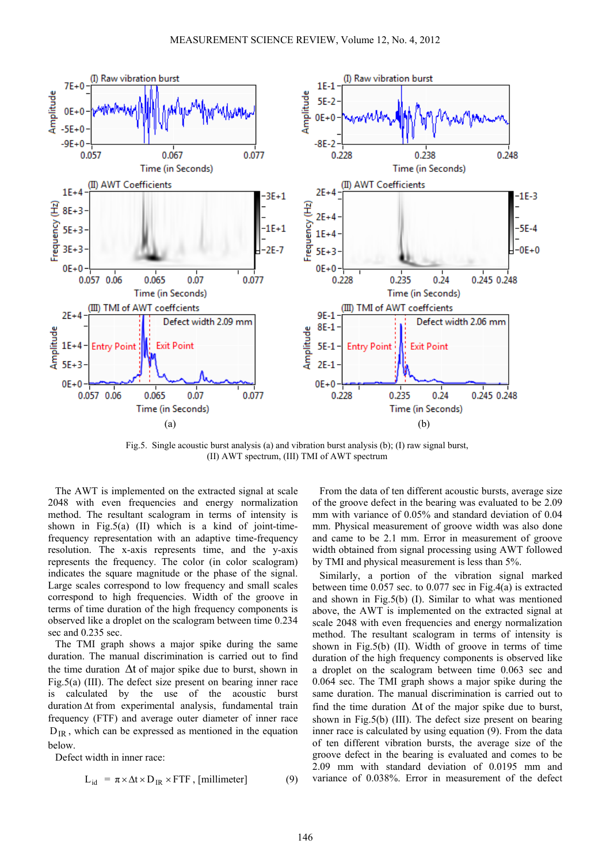

Fig.5. Single acoustic burst analysis (a) and vibration burst analysis (b); (I) raw signal burst, (II) AWT spectrum, (III) TMI of AWT spectrum

The AWT is implemented on the extracted signal at scale 2048 with even frequencies and energy normalization method. The resultant scalogram in terms of intensity is shown in Fig.5(a)  $(II)$  which is a kind of joint-timefrequency representation with an adaptive time-frequency resolution. The x-axis represents time, and the y-axis represents the frequency. The color (in color scalogram) indicates the square magnitude or the phase of the signal. Large scales correspond to low frequency and small scales correspond to high frequencies. Width of the groove in terms of time duration of the high frequency components is observed like a droplet on the scalogram between time 0.234 sec and 0.235 sec.

The TMI graph shows a major spike during the same duration. The manual discrimination is carried out to find the time duration  $\Delta t$  of major spike due to burst, shown in Fig.5(a) (III). The defect size present on bearing inner race is calculated by the use of the acoustic burst duration Δt from experimental analysis, fundamental train frequency (FTF) and average outer diameter of inner race  $D_{IR}$ , which can be expressed as mentioned in the equation below.

Defect width in inner race:

$$
L_{id} = \pi \times \Delta t \times D_{IR} \times FTF, [millimeter]
$$
 (9)

From the data of ten different acoustic bursts, average size of the groove defect in the bearing was evaluated to be 2.09 mm with variance of 0.05% and standard deviation of 0.04 mm. Physical measurement of groove width was also done and came to be 2.1 mm. Error in measurement of groove width obtained from signal processing using AWT followed by TMI and physical measurement is less than 5%.

Similarly, a portion of the vibration signal marked between time 0.057 sec. to 0.077 sec in Fig.4(a) is extracted and shown in Fig.5(b) (I). Similar to what was mentioned above, the AWT is implemented on the extracted signal at scale 2048 with even frequencies and energy normalization method. The resultant scalogram in terms of intensity is shown in Fig.5(b) (II). Width of groove in terms of time duration of the high frequency components is observed like a droplet on the scalogram between time 0.063 sec and 0.064 sec. The TMI graph shows a major spike during the same duration. The manual discrimination is carried out to find the time duration  $\Delta t$  of the major spike due to burst, shown in Fig.5(b) (III). The defect size present on bearing inner race is calculated by using equation (9). From the data of ten different vibration bursts, the average size of the groove defect in the bearing is evaluated and comes to be 2.09 mm with standard deviation of 0.0195 mm and variance of 0.038%. Error in measurement of the defect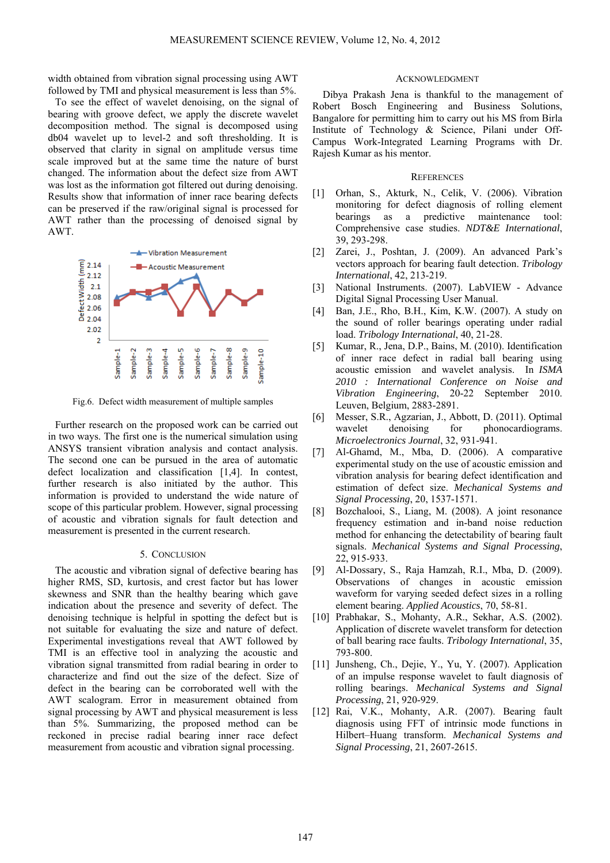width obtained from vibration signal processing using AWT followed by TMI and physical measurement is less than 5%.

To see the effect of wavelet denoising, on the signal of bearing with groove defect, we apply the discrete wavelet decomposition method. The signal is decomposed using db04 wavelet up to level-2 and soft thresholding. It is observed that clarity in signal on amplitude versus time scale improved but at the same time the nature of burst changed. The information about the defect size from AWT was lost as the information got filtered out during denoising. Results show that information of inner race bearing defects can be preserved if the raw/original signal is processed for AWT rather than the processing of denoised signal by AWT.



Fig.6. Defect width measurement of multiple samples

Further research on the proposed work can be carried out in two ways. The first one is the numerical simulation using ANSYS transient vibration analysis and contact analysis. The second one can be pursued in the area of automatic defect localization and classification [1,4]. In contest, further research is also initiated by the author. This information is provided to understand the wide nature of scope of this particular problem. However, signal processing of acoustic and vibration signals for fault detection and measurement is presented in the current research.

## 5. CONCLUSION

The acoustic and vibration signal of defective bearing has higher RMS, SD, kurtosis, and crest factor but has lower skewness and SNR than the healthy bearing which gave indication about the presence and severity of defect. The denoising technique is helpful in spotting the defect but is not suitable for evaluating the size and nature of defect. Experimental investigations reveal that AWT followed by TMI is an effective tool in analyzing the acoustic and vibration signal transmitted from radial bearing in order to characterize and find out the size of the defect. Size of defect in the bearing can be corroborated well with the AWT scalogram. Error in measurement obtained from signal processing by AWT and physical measurement is less than 5%. Summarizing, the proposed method can be reckoned in precise radial bearing inner race defect measurement from acoustic and vibration signal processing.

#### ACKNOWLEDGMENT

Dibya Prakash Jena is thankful to the management of Robert Bosch Engineering and Business Solutions, Bangalore for permitting him to carry out his MS from Birla Institute of Technology & Science, Pilani under Off-Campus Work-Integrated Learning Programs with Dr. Rajesh Kumar as his mentor.

#### **REFERENCES**

- [1] Orhan, S., Akturk, N., Celik, V. (2006). Vibration monitoring for defect diagnosis of rolling element bearings as a predictive maintenance tool: Comprehensive case studies. *NDT&E International*, 39, 293-298.
- [2] Zarei, J., Poshtan, J. (2009). An advanced Park's vectors approach for bearing fault detection. *Tribology International*, 42, 213-219.
- [3] National Instruments. (2007). LabVIEW Advance Digital Signal Processing User Manual.
- [4] Ban, J.E., Rho, B.H., Kim, K.W. (2007). A study on the sound of roller bearings operating under radial load. *Tribology International*, 40, 21-28.
- [5] Kumar, R., Jena, D.P., Bains, M. (2010). Identification of inner race defect in radial ball bearing using acoustic emission and wavelet analysis. In *ISMA 2010 : International Conference on Noise and Vibration Engineering*, 20-22 September 2010. Leuven, Belgium, 2883-2891.
- [6] Messer, S.R., Agzarian, J., Abbott, D. (2011). Optimal wavelet denoising for phonocardiograms. *Microelectronics Journal*, 32, 931-941.
- [7] Al-Ghamd, M., Mba, D. (2006). A comparative experimental study on the use of acoustic emission and vibration analysis for bearing defect identification and estimation of defect size. *Mechanical Systems and Signal Processing*, 20, 1537-1571.
- [8] Bozchalooi, S., Liang, M. (2008). A joint resonance frequency estimation and in-band noise reduction method for enhancing the detectability of bearing fault signals. *Mechanical Systems and Signal Processing*, 22, 915-933.
- [9] Al-Dossary, S., Raja Hamzah, R.I., Mba, D. (2009). Observations of changes in acoustic emission waveform for varying seeded defect sizes in a rolling element bearing. *Applied Acoustics*, 70, 58-81.
- [10] Prabhakar, S., Mohanty, A.R., Sekhar, A.S. (2002). Application of discrete wavelet transform for detection of ball bearing race faults. *Tribology International*, 35, 793-800.
- [11] Junsheng, Ch., Dejie, Y., Yu, Y. (2007). Application of an impulse response wavelet to fault diagnosis of rolling bearings. *Mechanical Systems and Signal Processing*, 21, 920-929.
- [12] Rai, V.K., Mohanty, A.R. (2007). Bearing fault diagnosis using FFT of intrinsic mode functions in Hilbert–Huang transform. *Mechanical Systems and Signal Processing*, 21, 2607-2615.